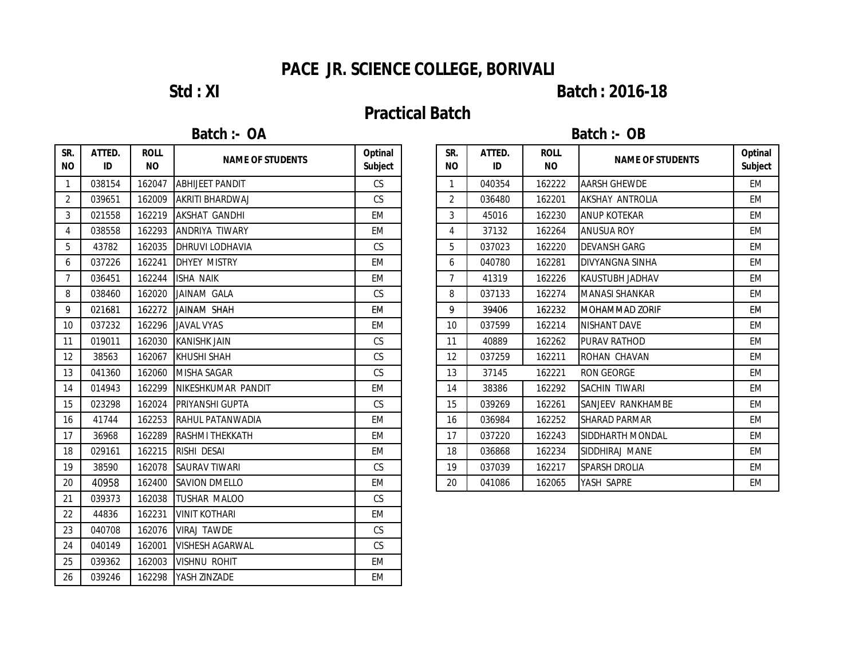# **PACE JR. SCIENCE COLLEGE, BORIVALI**

### **Std : XI Batch : 2016-18**

## **Practical Batch**

### **Batch :- OA Batch :- OB**

| SR.<br><b>NO</b> | ATTED.<br>ID | <b>ROLL</b><br><b>NO</b> | <b>NAME OF STUDENTS</b>    | Optinal<br><b>Subject</b> | SR.<br><b>NO</b> | ATTED.<br>ID | <b>ROLL</b><br><b>NO</b> | <b>NAME OF STUDENTS</b> | Optir<br>Subje |
|------------------|--------------|--------------------------|----------------------------|---------------------------|------------------|--------------|--------------------------|-------------------------|----------------|
| $\mathbf{1}$     | 038154       | 162047                   | <b>ABHIJEET PANDIT</b>     | <b>CS</b>                 | $\mathbf{1}$     | 040354       | 162222                   | <b>AARSH GHEWDE</b>     | <b>EM</b>      |
| 2                | 039651       | 162009                   | AKRITI BHARDWAJ            | <b>CS</b>                 | 2                | 036480       | 162201                   | <b>AKSHAY ANTROLIA</b>  | <b>EM</b>      |
| 3                | 021558       | 162219                   | <b>AKSHAT GANDHI</b>       | <b>EM</b>                 | 3                | 45016        | 162230                   | <b>ANUP KOTEKAR</b>     | <b>EM</b>      |
| 4                | 038558       | 162293                   | <b>ANDRIYA TIWARY</b>      | EM                        | 4                | 37132        | 162264                   | <b>ANUSUA ROY</b>       | EM             |
| 5                | 43782        | 162035                   | <b>DHRUVI LODHAVIA</b>     | CS                        | 5                | 037023       | 162220                   | <b>DEVANSH GARG</b>     | <b>EM</b>      |
| 6                | 037226       | 162241                   | <b>DHYEY MISTRY</b>        | <b>EM</b>                 | 6                | 040780       | 162281                   | <b>DIVYANGNA SINHA</b>  | <b>EM</b>      |
| $\overline{7}$   | 036451       | 162244                   | <b>ISHA NAIK</b>           | EM                        | 7                | 41319        | 162226                   | <b>KAUSTUBH JADHAV</b>  | <b>EM</b>      |
| 8                | 038460       | 162020                   | JAINAM GALA                | <b>CS</b>                 | 8                | 037133       | 162274                   | <b>MANASI SHANKAR</b>   | <b>EM</b>      |
| 9                | 021681       | 162272                   | <b>JAINAM SHAH</b>         | EM                        | 9                | 39406        | 162232                   | MOHAMMAD ZORIF          | <b>EM</b>      |
| 10               | 037232       | 162296                   | <b>JAVAL VYAS</b>          | EM                        | 10               | 037599       | 162214                   | NISHANT DAVE            | EM             |
| 11               | 019011       | 162030                   | <b>KANISHK JAIN</b>        | <b>CS</b>                 | 11               | 40889        | 162262                   | PURAV RATHOD            | <b>EM</b>      |
| 12               | 38563        | 162067                   | <b>KHUSHI SHAH</b>         | <b>CS</b>                 | 12               | 037259       | 162211                   | ROHAN CHAVAN            | <b>EM</b>      |
| 13               | 041360       | 162060                   | <b>MISHA SAGAR</b>         | <b>CS</b>                 | 13               | 37145        | 162221                   | <b>RON GEORGE</b>       | <b>EM</b>      |
| 14               | 014943       | 162299                   | <b>INIKESHKUMAR PANDIT</b> | EM                        | 14               | 38386        | 162292                   | <b>SACHIN TIWARI</b>    | <b>EM</b>      |
| 15               | 023298       | 162024                   | PRIYANSHI GUPTA            | <b>CS</b>                 | 15               | 039269       | 162261                   | SANJEEV RANKHAMBE       | <b>EM</b>      |
| 16               | 41744        | 162253                   | RAHUL PATANWADIA           | <b>EM</b>                 | 16               | 036984       | 162252                   | <b>SHARAD PARMAR</b>    | <b>EM</b>      |
| 17               | 36968        | 162289                   | <b>RASHMI THEKKATH</b>     | <b>EM</b>                 | 17               | 037220       | 162243                   | SIDDHARTH MONDAL        | <b>EM</b>      |
| 18               | 029161       | 162215                   | RISHI DESAI                | <b>EM</b>                 | 18               | 036868       | 162234                   | SIDDHIRAJ MANE          | <b>EM</b>      |
| 19               | 38590        | 162078                   | <b>SAURAV TIWARI</b>       | CS                        | 19               | 037039       | 162217                   | <b>SPARSH DROLIA</b>    | <b>EM</b>      |
| 20               | 40958        | 162400                   | <b>SAVION DMELLO</b>       | <b>EM</b>                 | 20               | 041086       | 162065                   | YASH SAPRE              | <b>EM</b>      |
| 21               | 039373       | 162038                   | TUSHAR MALOO               | <b>CS</b>                 |                  |              |                          |                         |                |
| 22               | 44836        | 162231                   | <b>VINIT KOTHARI</b>       | <b>EM</b>                 |                  |              |                          |                         |                |
| 23               | 040708       | 162076                   | <b>VIRAJ TAWDE</b>         | <b>CS</b>                 |                  |              |                          |                         |                |
| 24               | 040149       | 162001                   | <b>VISHESH AGARWAL</b>     | CS                        |                  |              |                          |                         |                |
| 25               | 039362       | 162003                   | <b>VISHNU ROHIT</b>        | <b>EM</b>                 |                  |              |                          |                         |                |
| 26               | 039246       | 162298                   | YASH ZINZADE               | <b>EM</b>                 |                  |              |                          |                         |                |

| SR.<br><b>NO</b> | ATTED.<br>ID    | <b>ROLL</b><br><b>NO</b> | <b>NAME OF STUDENTS</b> | <b>Optinal</b><br><b>Subject</b> |
|------------------|-----------------|--------------------------|-------------------------|----------------------------------|
| $\mathbf{1}$     | 040354          | 162222                   | <b>AARSH GHEWDE</b>     | <b>EM</b>                        |
| $\overline{2}$   | 036480          | 162201                   | AKSHAY ANTROLIA         | <b>EM</b>                        |
| 3                | 45016           | 162230                   | <b>ANUP KOTEKAR</b>     | <b>EM</b>                        |
| $\overline{4}$   | 37132           | 162264                   | <b>ANUSUA ROY</b>       | <b>EM</b>                        |
| 5                | 037023          | 162220                   | <b>DEVANSH GARG</b>     | <b>EM</b>                        |
| 6                | 040780          | 162281                   | DIVYANGNA SINHA         | <b>EM</b>                        |
| $\overline{7}$   | 41319           | 162226                   | KAUSTUBH JADHAV         | <b>EM</b>                        |
| 8                | 037133          | 162274                   | <b>MANASI SHANKAR</b>   | EM                               |
| 9                | 39406<br>162232 |                          | <b>MOHAMMAD ZORIF</b>   | EM                               |
| 10               | 037599          | 162214                   | <b>NISHANT DAVE</b>     | <b>EM</b>                        |
| 11               | 40889           | 162262                   | <b>PURAV RATHOD</b>     | EM                               |
| 12               | 037259          | 162211                   | <b>ROHAN CHAVAN</b>     | <b>EM</b>                        |
| 13               | 37145           | 162221                   | <b>RON GEORGE</b>       | <b>EM</b>                        |
| 14               | 38386           | 162292                   | SACHIN TIWARI           | EM                               |
| 15               | 039269          | 162261                   | SANJEEV RANKHAMBE       | <b>EM</b>                        |
| 16               | 036984          | 162252                   | <b>SHARAD PARMAR</b>    | EM                               |
| 17               | 037220          | 162243                   | SIDDHARTH MONDAL        | EM                               |
| 18               | 036868          | 162234                   | SIDDHIRAJ MANE          | <b>EM</b>                        |
| 19               | 037039          | 162217                   | SPARSH DROLIA           | <b>EM</b>                        |
| 20               | 041086          | 162065                   | YASH SAPRE              | EM                               |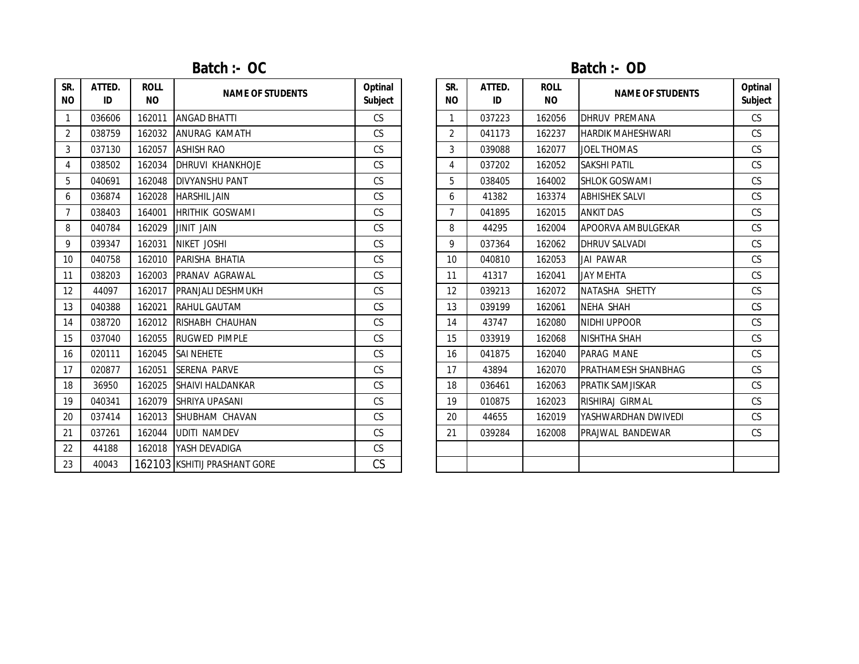**Batch :- OC**

| SR.<br><b>NO</b> | ATTED.<br>ID | <b>ROLL</b><br><b>NO</b> | <b>NAME OF STUDENTS</b>      | Optinal<br><b>Subject</b> | SR.<br><b>NO</b> | ATTED.<br>ID | <b>ROLL</b><br><b>NO</b> | <b>NAME OF STUDENTS</b>  | Optin<br><b>Subje</b> |
|------------------|--------------|--------------------------|------------------------------|---------------------------|------------------|--------------|--------------------------|--------------------------|-----------------------|
| $\mathbf{1}$     | 036606       | 162011                   | <b>ANGAD BHATTI</b>          | CS                        | 1                | 037223       | 162056                   | <b>DHRUV PREMANA</b>     | CS                    |
| 2                | 038759       | 162032                   | <b>ANURAG KAMATH</b>         | <b>CS</b>                 | $\overline{2}$   | 041173       | 162237                   | <b>HARDIK MAHESHWARI</b> | CS                    |
| 3                | 037130       | 162057                   | <b>ASHISH RAO</b>            | CS                        | 3                | 039088       | 162077                   | <b>JOEL THOMAS</b>       | CS                    |
| 4                | 038502       | 162034                   | DHRUVL KHANKHOJF             | <b>CS</b>                 | 4                | 037202       | 162052                   | SAKSHI PATII             | CS                    |
| 5                | 040691       | 162048                   | <b>DIVYANSHU PANT</b>        | CS                        | 5                | 038405       | 164002                   | <b>SHLOK GOSWAMI</b>     | CS                    |
| 6                | 036874       | 162028                   | <b>HARSHIL JAIN</b>          | CS                        | 6                | 41382        | 163374                   | <b>ABHISHEK SALVI</b>    | CS                    |
| 7                | 038403       | 164001                   | <b>HRITHIK GOSWAMI</b>       | CS                        | $\overline{7}$   | 041895       | 162015                   | <b>ANKIT DAS</b>         | CS                    |
| 8                | 040784       | 162029                   | <b>JINIT JAIN</b>            | CS                        | 8                | 44295        | 162004                   | APOORVA AMBULGEKAR       | CS                    |
| 9                | 039347       | 162031                   | NIKET JOSHI                  | CS                        | 9                | 037364       | 162062                   | <b>DHRUV SALVADI</b>     | CS                    |
| 10               | 040758       | 162010                   | PARISHA BHATIA               | CS                        | 10               | 040810       | 162053                   | <b>JAI PAWAR</b>         | CS                    |
| 11               | 038203       | 162003                   | PRANAV AGRAWAL               | CS                        | 11               | 41317        | 162041                   | <b>JAY MEHTA</b>         | CS                    |
| 12               | 44097        | 162017                   | <b>PRANJALI DESHMUKH</b>     | CS                        | 12               | 039213       | 162072                   | NATASHA SHETTY           | CS                    |
| 13               | 040388       | 162021                   | <b>RAHUL GAUTAM</b>          | CS                        | 13               | 039199       | 162061                   | <b>NEHA SHAH</b>         | CS                    |
| 14               | 038720       | 162012                   | <b>RISHABH CHAUHAN</b>       | CS                        | 14               | 43747        | 162080                   | NIDHI UPPOOR             | CS                    |
| 15               | 037040       | 162055                   | <b>RUGWED PIMPLE</b>         | CS                        | 15               | 033919       | 162068                   | <b>NISHTHA SHAH</b>      | CS                    |
| 16               | 020111       | 162045                   | <b>SAI NEHETE</b>            | CS                        | 16               | 041875       | 162040                   | PARAG MANE               | CS                    |
| 17               | 020877       | 162051                   | <b>SERENA PARVE</b>          | CS                        | 17               | 43894        | 162070                   | PRATHAMESH SHANBHAG      | CS                    |
| 18               | 36950        | 162025                   | <b>SHAIVI HALDANKAR</b>      | <b>CS</b>                 | 18               | 036461       | 162063                   | <b>PRATIK SAMJISKAR</b>  | CS                    |
| 19               | 040341       | 162079                   | SHRIYA UPASANI               | CS                        | 19               | 010875       | 162023                   | RISHIRAJ GIRMAL          | CS                    |
| 20               | 037414       | 162013                   | SHUBHAM CHAVAN               | <b>CS</b>                 | 20               | 44655        | 162019                   | YASHWARDHAN DWIVEDI      | CS                    |
| 21               | 037261       | 162044                   | <b>UDITI NAMDEV</b>          | <b>CS</b>                 | 21               | 039284       | 162008                   | PRAJWAL BANDEWAR         | CS                    |
| 22               | 44188        | 162018                   | YASH DEVADIGA                | <b>CS</b>                 |                  |              |                          |                          |                       |
| 23               | 40043        |                          | 162103 KSHITIJ PRASHANT GORE | CS                        |                  |              |                          |                          |                       |

**Batch :- OD**

| SR.<br><b>NO</b> | ATTED.<br>ID | <b>ROLL</b><br><b>NO</b> | <b>NAME OF STUDENTS</b>  | <b>Optinal</b><br><b>Subject</b> |
|------------------|--------------|--------------------------|--------------------------|----------------------------------|
| $\mathbf{1}$     | 037223       | 162056                   | DHRUV PREMANA            | CS                               |
| $\overline{2}$   | 041173       | 162237                   | <b>HARDIK MAHESHWARI</b> | CS                               |
| 3                | 039088       | 162077                   | <b>JOEL THOMAS</b>       | CS                               |
| 4                | 037202       | 162052                   | <b>SAKSHI PATIL</b>      | CS                               |
| 5                | 038405       | 164002                   | <b>SHLOK GOSWAMI</b>     | CS                               |
| 6                | 41382        | 163374                   | <b>ABHISHEK SALVI</b>    | CS                               |
| $\overline{7}$   | 041895       | 162015                   | <b>ANKIT DAS</b>         | CS                               |
| 8                | 44295        | 162004                   | APOORVA AMBULGEKAR       | CS                               |
| 9                | 037364       | 162062                   | <b>DHRUV SALVADI</b>     | CS                               |
| 10               | 040810       | 162053                   | <b>JAI PAWAR</b>         | CS                               |
| 11               | 41317        | 162041                   | <b>JAY MEHTA</b>         | CS                               |
| 12               | 039213       | 162072                   | NATASHA SHETTY           | CS                               |
| 13               | 039199       | 162061                   | <b>NEHA SHAH</b>         | CS                               |
| 14               | 43747        | 162080                   | NIDHI UPPOOR             | CS                               |
| 15               | 033919       | 162068                   | NISHTHA SHAH             | CS                               |
| 16               | 041875       | 162040                   | PARAG MANE               | CS                               |
| 17               | 43894        | 162070                   | PRATHAMESH SHANBHAG      | CS                               |
| 18               | 036461       | 162063                   | PRATIK SAMJISKAR         | CS                               |
| 19               | 010875       | 162023                   | RISHIRAJ GIRMAL          | CS                               |
| 20               | 44655        | 162019                   | YASHWARDHAN DWIVEDI      | CS                               |
| 21               | 039284       | 162008                   | PRAJWAL BANDEWAR         | CS                               |
|                  |              |                          |                          |                                  |
|                  |              |                          |                          |                                  |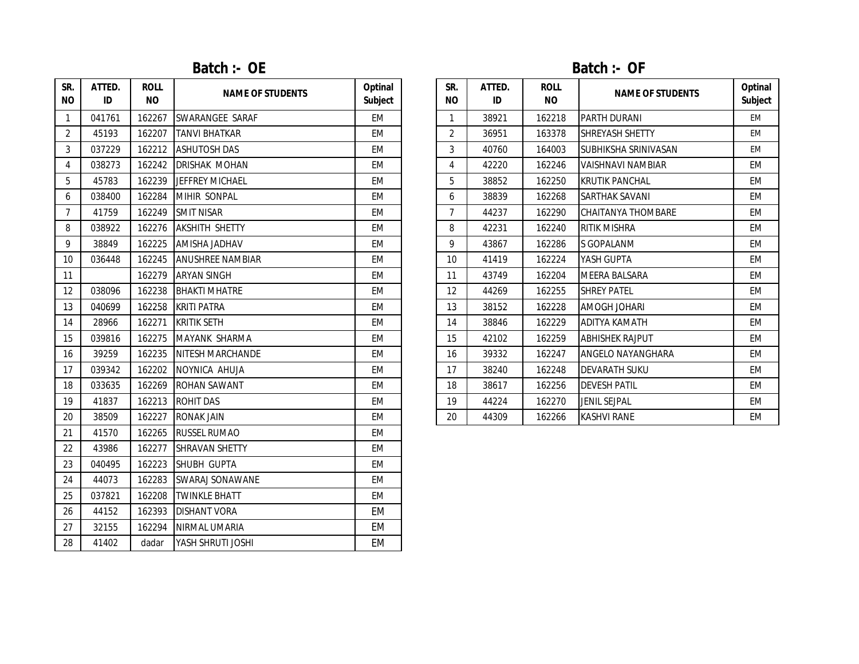**Batch :- OE**

| SR.<br><b>NO</b> | ATTED.<br>ID | <b>ROLL</b><br><b>NO</b> | <b>NAME OF STUDENTS</b> | Optinal<br><b>Subject</b> | SR.<br><b>NO</b> | ATTED.<br>ID | <b>ROLL</b><br><b>NO</b> | <b>NAME OF STUDENTS</b>  | Optir<br>Subje |
|------------------|--------------|--------------------------|-------------------------|---------------------------|------------------|--------------|--------------------------|--------------------------|----------------|
| $\mathbf{1}$     | 041761       | 162267                   | SWARANGEE SARAF         | EM                        | $\mathbf{1}$     | 38921        | 162218                   | PARTH DURANI             | <b>EM</b>      |
| $\overline{2}$   | 45193        | 162207                   | <b>TANVI BHATKAR</b>    | EM                        | $\overline{2}$   | 36951        | 163378                   | SHREYASH SHETTY          | EM             |
| 3                | 037229       | 162212                   | <b>ASHUTOSH DAS</b>     | EM                        | 3                | 40760        | 164003                   | SUBHIKSHA SRINIVASAN     | <b>EM</b>      |
| 4                | 038273       | 162242                   | DRISHAK MOHAN           | <b>EM</b>                 | 4                | 42220        | 162246                   | <b>VAISHNAVI NAMBIAR</b> | <b>EM</b>      |
| 5                | 45783        | 162239                   | JEFFREY MICHAEL         | <b>EM</b>                 | 5                | 38852        | 162250                   | <b>KRUTIK PANCHAL</b>    | <b>EM</b>      |
| 6                | 038400       | 162284                   | <b>MIHIR SONPAL</b>     | <b>EM</b>                 | 6                | 38839        | 162268                   | SARTHAK SAVANI           | <b>EM</b>      |
| $\overline{7}$   | 41759        | 162249                   | <b>SMIT NISAR</b>       | EM                        | $\overline{7}$   | 44237        | 162290                   | CHAITANYA THOMBARE       | <b>EM</b>      |
| 8                | 038922       | 162276                   | <b>AKSHITH SHETTY</b>   | EM                        | 8                | 42231        | 162240                   | <b>RITIK MISHRA</b>      | <b>EM</b>      |
| 9                | 38849        | 162225                   | <b>AMISHA JADHAV</b>    | EM                        | 9                | 43867        | 162286                   | S GOPALANM               | <b>EM</b>      |
| 10               | 036448       | 162245                   | <b>ANUSHREE NAMBIAR</b> | <b>EM</b>                 | 10               | 41419        | 162224                   | YASH GUPTA               | <b>EM</b>      |
| 11               |              | 162279                   | <b>ARYAN SINGH</b>      | <b>EM</b>                 | 11               | 43749        | 162204                   | <b>MEERA BALSARA</b>     | <b>EM</b>      |
| 12               | 038096       | 162238                   | <b>BHAKTI MHATRE</b>    | EM                        | 12               | 44269        | 162255                   | <b>SHREY PATEL</b>       | <b>EM</b>      |
| 13               | 040699       | 162258                   | <b>KRITI PATRA</b>      | <b>EM</b>                 | 13               | 38152        | 162228                   | <b>AMOGH JOHARI</b>      | <b>EM</b>      |
| 14               | 28966        | 162271                   | <b>KRITIK SETH</b>      | EM                        | 14               | 38846        | 162229                   | <b>ADITYA KAMATH</b>     | <b>EM</b>      |
| 15               | 039816       | 162275                   | MAYANK SHARMA           | <b>EM</b>                 | 15               | 42102        | 162259                   | <b>ABHISHEK RAJPUT</b>   | <b>EM</b>      |
| 16               | 39259        | 162235                   | NITESH MARCHANDE        | EM                        | 16               | 39332        | 162247                   | ANGELO NAYANGHARA        | <b>EM</b>      |
| 17               | 039342       | 162202                   | NOYNICA AHUJA           | <b>EM</b>                 | 17               | 38240        | 162248                   | <b>DEVARATH SUKU</b>     | <b>EM</b>      |
| 18               | 033635       | 162269                   | <b>ROHAN SAWANT</b>     | <b>EM</b>                 | 18               | 38617        | 162256                   | <b>DEVESH PATIL</b>      | <b>EM</b>      |
| 19               | 41837        | 162213                   | <b>ROHIT DAS</b>        | <b>EM</b>                 | 19               | 44224        | 162270                   | <b>JENIL SEJPAL</b>      | <b>EM</b>      |
| 20               | 38509        | 162227                   | <b>RONAK JAIN</b>       | <b>EM</b>                 | 20               | 44309        | 162266                   | <b>KASHVI RANE</b>       | <b>EM</b>      |
| 21               | 41570        | 162265                   | <b>RUSSEL RUMAO</b>     | <b>EM</b>                 |                  |              |                          |                          |                |
| 22               | 43986        | 162277                   | <b>SHRAVAN SHETTY</b>   | <b>EM</b>                 |                  |              |                          |                          |                |
| 23               | 040495       | 162223                   | SHUBH GUPTA             | <b>EM</b>                 |                  |              |                          |                          |                |
| 24               | 44073        | 162283                   | <b>SWARAJ SONAWANE</b>  | <b>EM</b>                 |                  |              |                          |                          |                |
| 25               | 037821       | 162208                   | <b>TWINKLE BHATT</b>    | EM                        |                  |              |                          |                          |                |
| 26               | 44152        | 162393                   | <b>DISHANT VORA</b>     | EM                        |                  |              |                          |                          |                |
| 27               | 32155        | 162294                   | NIRMAL UMARIA           | <b>EM</b>                 |                  |              |                          |                          |                |
| 28               | 41402        | dadar                    | YASH SHRUTI JOSHI       | EM                        |                  |              |                          |                          |                |

**Batch :- OF**

| SR.<br><b>NO</b> | ATTED.<br>ID | <b>ROLL</b><br><b>NO</b> | <b>NAME OF STUDENTS</b> | <b>Optinal</b><br><b>Subject</b> |
|------------------|--------------|--------------------------|-------------------------|----------------------------------|
| 1                | 38921        | 162218                   | <b>PARTH DURANI</b>     | <b>EM</b>                        |
| 2                | 36951        | 163378                   | SHREYASH SHETTY         | <b>EM</b>                        |
| 3                | 40760        | 164003                   | SUBHIKSHA SRINIVASAN    | <b>EM</b>                        |
| 4                | 42220        | 162246                   | VAISHNAVI NAMBIAR       | <b>EM</b>                        |
| 5                | 38852        | 162250                   | <b>KRUTIK PANCHAL</b>   | EM                               |
| 6                | 38839        | 162268                   | SARTHAK SAVANI          | <b>EM</b>                        |
| 7                | 44237        | 162290                   | CHAITANYA THOMBARE      | EM                               |
| 8                | 42231        | 162240                   | <b>RITIK MISHRA</b>     | <b>EM</b>                        |
| 9                | 43867        | 162286                   | S GOPALANM              | <b>EM</b>                        |
| 10               | 41419        | 162224                   | YASH GUPTA              | <b>EM</b>                        |
| 11               | 43749        | 162204                   | <b>MEERA BALSARA</b>    | <b>EM</b>                        |
| 12               | 44269        | 162255                   | <b>SHREY PATEL</b>      | EM                               |
| 13               | 38152        | 162228                   | <b>AMOGH JOHARI</b>     | EM                               |
| 14               | 38846        | 162229                   | ADITYA KAMATH           | <b>EM</b>                        |
| 15               | 42102        | 162259                   | <b>ABHISHEK RAJPUT</b>  | <b>EM</b>                        |
| 16               | 39332        | 162247                   | ANGELO NAYANGHARA       | <b>EM</b>                        |
| 17               | 38240        | 162248                   | <b>DEVARATH SUKU</b>    | EM                               |
| 18               | 38617        | 162256                   | <b>DEVESH PATIL</b>     | <b>EM</b>                        |
| 19               | 44224        | 162270                   | <b>JENIL SEJPAL</b>     | <b>EM</b>                        |
| 20               | 44309        | 162266                   | <b>KASHVI RANE</b>      | <b>EM</b>                        |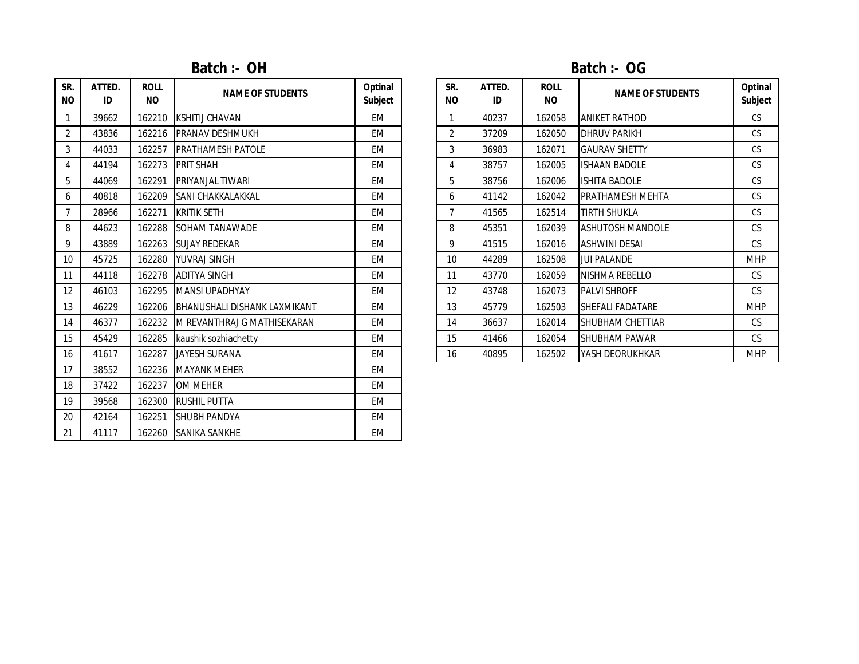# **Batch :- OH Batch :- OG**

| SR.<br><b>NO</b> | ATTED.<br>ID | <b>ROLL</b><br><b>NO</b> | <b>NAME OF STUDENTS</b>       | Optinal<br>Subject | SR.<br><b>NO</b> | ATTED.<br>ID | <b>ROLL</b><br><b>NO</b> | <b>NAME OF STUDENTS</b> | Optin<br><b>Subjet</b> |
|------------------|--------------|--------------------------|-------------------------------|--------------------|------------------|--------------|--------------------------|-------------------------|------------------------|
|                  | 39662        | 162210                   | <b>KSHITIJ CHAVAN</b>         | EM                 |                  | 40237        | 162058                   | <b>ANIKET RATHOD</b>    | <b>CS</b>              |
| 2                | 43836        | 162216                   | <b>PRANAV DESHMUKH</b>        | EM                 | $\overline{2}$   | 37209        | 162050                   | <b>DHRUV PARIKH</b>     | CS                     |
| 3                | 44033        | 162257                   | <b>PRATHAMESH PATOLE</b>      | EM                 | 3                | 36983        | 162071                   | <b>GAURAV SHETTY</b>    | CS                     |
| 4                | 44194        | 162273                   | <b>PRIT SHAH</b>              | EM                 | 4                | 38757        | 162005                   | <b>ISHAAN BADOLE</b>    | CS                     |
| 5                | 44069        | 162291                   | <b>PRIYANJAL TIWARI</b>       | EM                 | 5                | 38756        | 162006                   | <b>ISHITA BADOLE</b>    | CS                     |
| 6                | 40818        | 162209                   | <b>SANI CHAKKALAKKAL</b>      | EM                 | 6                | 41142        | 162042                   | <b>PRATHAMESH MEHTA</b> | CS                     |
| $\overline{7}$   | 28966        | 162271                   | <b>KRITIK SETH</b>            | EM                 | $\overline{7}$   | 41565        | 162514                   | TIRTH SHUKLA            | CS                     |
| 8                | 44623        | 162288                   | <b>SOHAM TANAWADE</b>         | EM                 | 8                | 45351        | 162039                   | <b>ASHUTOSH MANDOLE</b> | <b>CS</b>              |
| 9                | 43889        | 162263                   | <b>SUJAY REDEKAR</b>          | EM                 | 9                | 41515        | 162016                   | <b>ASHWINI DESAI</b>    | CS                     |
| 10               | 45725        | 162280                   | <b>YUVRAJ SINGH</b>           | EM                 | 10               | 44289        | 162508                   | <b>JUI PALANDE</b>      | <b>MHP</b>             |
| 11               | 44118        | 162278                   | <b>ADITYA SINGH</b>           | EM                 | 11               | 43770        | 162059                   | <b>NISHMA REBELLO</b>   | CS                     |
| 12               | 46103        | 162295                   | <b>MANSI UPADHYAY</b>         | EM                 | 12               | 43748        | 162073                   | <b>PALVI SHROFF</b>     | CS                     |
| 13               | 46229        | 162206                   | IBHANUSHALI DISHANK LAXMIKANT | EM                 | 13               | 45779        | 162503                   | <b>SHEFALI FADATARE</b> | <b>MHP</b>             |
| 14               | 46377        | 162232                   | IM REVANTHRAJ G MATHISEKARAN  | EM                 | 14               | 36637        | 162014                   | <b>SHUBHAM CHETTIAR</b> | CS                     |
| 15               | 45429        | 162285                   | kaushik sozhiachetty          | EM                 | 15               | 41466        | 162054                   | SHUBHAM PAWAR           | CS                     |
| 16               | 41617        | 162287                   | <b>JAYESH SURANA</b>          | EM                 | 16               | 40895        | 162502                   | YASH DEORUKHKAR         | <b>MHP</b>             |
| 17               | 38552        | 162236                   | <b>MAYANK MEHER</b>           | EM                 |                  |              |                          |                         |                        |
| 18               | 37422        | 162237                   | <b>OM MEHER</b>               | EM                 |                  |              |                          |                         |                        |
| 19               | 39568        | 162300                   | <b>RUSHIL PUTTA</b>           | EM                 |                  |              |                          |                         |                        |
| 20               | 42164        | 162251                   | <b>SHUBH PANDYA</b>           | EM                 |                  |              |                          |                         |                        |
| 21               | 41117        | 162260                   | <b>SANIKA SANKHE</b>          | <b>EM</b>          |                  |              |                          |                         |                        |

| SR.<br>NΟ      | ATTED.<br>ID | <b>ROLL</b><br><b>NO</b> | <b>NAME OF STUDENTS</b> | <b>Optinal</b><br><b>Subject</b> |
|----------------|--------------|--------------------------|-------------------------|----------------------------------|
| 1              | 40237        | 162058                   | <b>ANIKET RATHOD</b>    | CS                               |
| $\overline{2}$ | 37209        | 162050                   | <b>DHRUV PARIKH</b>     | <b>CS</b>                        |
| 3              | 36983        | 162071                   | <b>GAURAV SHETTY</b>    | CS                               |
| 4              | 38757        | 162005                   | <b>ISHAAN BADOLE</b>    | <b>CS</b>                        |
| 5              | 38756        | 162006                   | <b>ISHITA BADOLE</b>    | <b>CS</b>                        |
| 6              | 41142        | 162042                   | PRATHAMESH MEHTA        | <b>CS</b>                        |
| 7              | 41565        | 162514                   | TIRTH SHUKLA            | <b>CS</b>                        |
| 8              | 45351        | 162039                   | <b>ASHUTOSH MANDOLE</b> | <b>CS</b>                        |
| 9              | 41515        | 162016                   | ASHWINI DESAI           | CS                               |
| 10             | 44289        | 162508                   | <b>JUI PALANDE</b>      | <b>MHP</b>                       |
| 11             | 43770        | 162059                   | NISHMA REBELLO          | <b>CS</b>                        |
| 12             | 43748        | 162073                   | <b>PALVI SHROFF</b>     | CS                               |
| 13             | 45779        | 162503                   | SHEFALI FADATARE        | <b>MHP</b>                       |
| 14             | 36637        | 162014                   | SHUBHAM CHETTIAR        | <b>CS</b>                        |
| 15             | 41466        | 162054                   | <b>SHUBHAM PAWAR</b>    | <b>CS</b>                        |
| 16             | 40895        | 162502                   | YASH DEORUKHKAR         | <b>MHP</b>                       |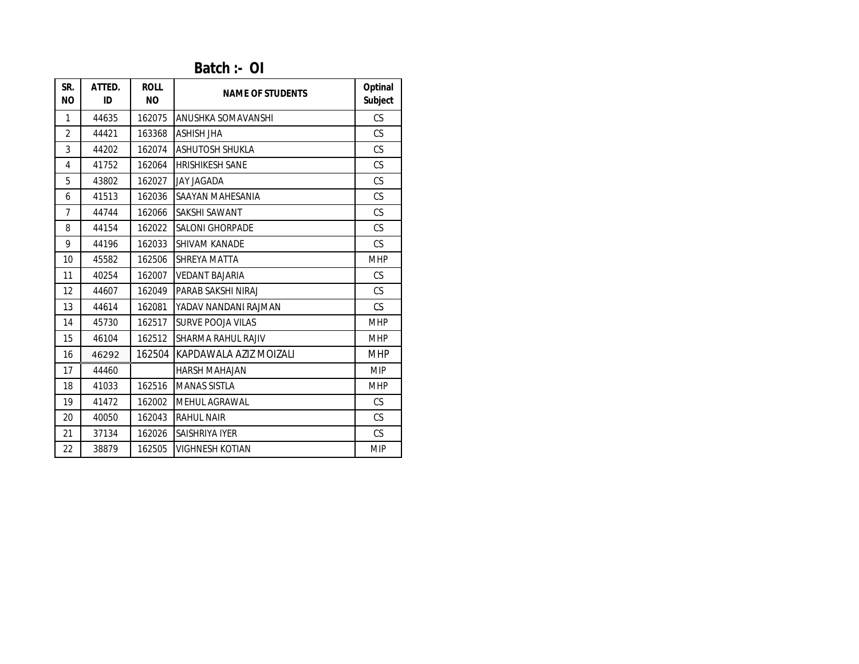| SR.<br><b>NO</b> | ATTED.<br>ID | <b>ROLL</b><br><b>NO</b> | <b>NAME OF STUDENTS</b>  | <b>Optinal</b><br><b>Subject</b> |
|------------------|--------------|--------------------------|--------------------------|----------------------------------|
| $\mathbf{1}$     | 44635        | 162075                   | ANUSHKA SOMAVANSHI       | CS                               |
| $\overline{2}$   | 44421        | 163368                   | <b>ASHISH JHA</b>        | CS                               |
| 3                | 44202        | 162074                   | <b>ASHUTOSH SHUKLA</b>   | CS                               |
| 4                | 41752        | 162064                   | <b>HRISHIKESH SANE</b>   | <b>CS</b>                        |
| 5                | 43802        | 162027                   | JAY JAGADA               | <b>CS</b>                        |
| 6                | 41513        | 162036                   | SAAYAN MAHESANIA         | CS                               |
| $\overline{7}$   | 44744        | 162066                   | SAKSHI SAWANT            | CS                               |
| 8                | 44154        | 162022                   | SALONI GHORPADE          | CS                               |
| 9                | 44196        | 162033                   | <b>SHIVAM KANADE</b>     | <b>CS</b>                        |
| 10               | 45582        | 162506                   | SHREYA MATTA             | <b>MHP</b>                       |
| 11               | 40254        | 162007                   | <b>VEDANT BAJARIA</b>    | CS                               |
| 12               | 44607        | 162049                   | PARAB SAKSHI NIRAJ       | CS                               |
| 13               | 44614        | 162081                   | YADAV NANDANI RAJMAN     | <b>CS</b>                        |
| 14               | 45730        | 162517                   | <b>SURVE POOJA VILAS</b> | <b>MHP</b>                       |
| 15               | 46104        | 162512                   | SHARMA RAHUL RAJIV       | <b>MHP</b>                       |
| 16               | 46292        | 162504                   | KAPDAWALA AZIZ MOIZALI   | <b>MHP</b>                       |
| 17               | 44460        |                          | <b>HARSH MAHAJAN</b>     | <b>MIP</b>                       |
| 18               | 41033        | 162516                   | <b>MANAS SISTLA</b>      | <b>MHP</b>                       |
| 19               | 41472        | 162002                   | <b>MEHUL AGRAWAL</b>     | CS                               |
| 20               | 40050        | 162043                   | <b>RAHUL NAIR</b>        | CS                               |
| 21               | 37134        | 162026                   | SAISHRIYA IYER           | <b>CS</b>                        |
| 22               | 38879        | 162505                   | VIGHNESH KOTIAN          | <b>MIP</b>                       |

**Batch :- OI**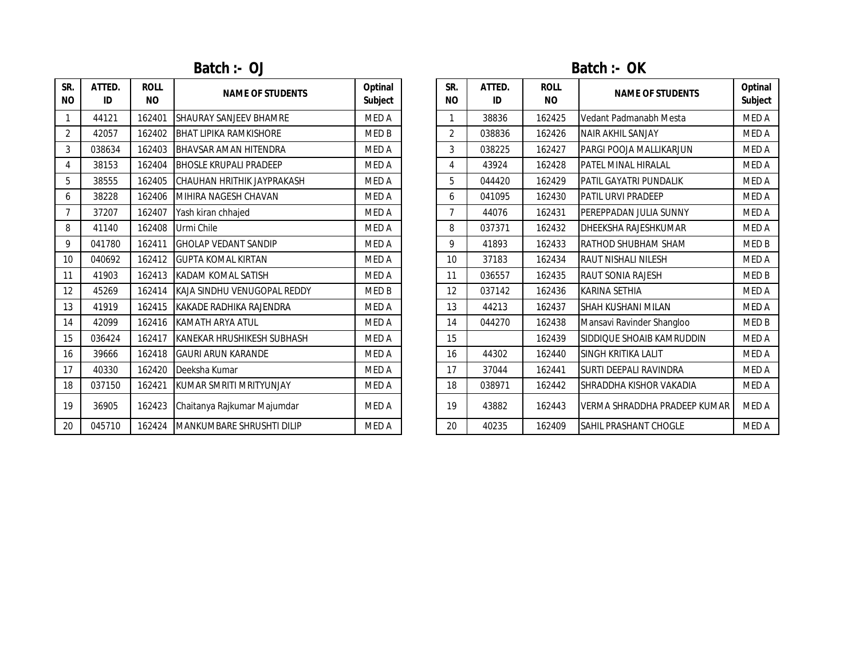**Batch :- OJ Batch :- OK**

| SR.<br><b>NO</b> | ATTED.<br>ID | <b>ROLL</b><br><b>NO</b> | <b>NAME OF STUDENTS</b>          | <b>Optinal</b><br><b>Subject</b> |
|------------------|--------------|--------------------------|----------------------------------|----------------------------------|
| $\mathbf{1}$     | 44121        | 162401                   | <b>SHAURAY SANJEEV BHAMRE</b>    | <b>MEDA</b>                      |
| $\overline{2}$   | 42057        | 162402                   | <b>BHAT LIPIKA RAMKISHORE</b>    | MED B                            |
| 3                | 038634       | 162403                   | BHAVSAR AMAN HITENDRA            | <b>MED A</b>                     |
| 4                | 38153        | 162404                   | <b>BHOSLE KRUPALI PRADEEP</b>    | MED A                            |
| 5                | 38555        | 162405                   | CHAUHAN HRITHIK JAYPRAKASH       | <b>MED A</b>                     |
| 6                | 38228        | 162406                   | MIHIRA NAGESH CHAVAN             | MED A                            |
| $\overline{7}$   | 37207        | 162407                   | Yash kiran chhajed               | <b>MED A</b>                     |
| 8                | 41140        | 162408                   | Urmi Chile                       | <b>MED A</b>                     |
| 9                | 041780       | 162411                   | <b>GHOLAP VEDANT SANDIP</b>      | <b>MED A</b>                     |
| 10               | 040692       | 162412                   | <b>GUPTA KOMAL KIRTAN</b>        | <b>MED A</b>                     |
| 11               | 41903        | 162413                   | KADAM KOMAL SATISH               | <b>MED A</b>                     |
| 12               | 45269        | 162414                   | KAJA SINDHU VENUGOPAL REDDY      | <b>MEDB</b>                      |
| 13               | 41919        | 162415                   | KAKADE RADHIKA RAJENDRA          | MED A                            |
| 14               | 42099        | 162416                   | KAMATH ARYA ATUL                 | <b>MED A</b>                     |
| 15               | 036424       | 162417                   | KANEKAR HRUSHIKESH SUBHASH       | <b>MED A</b>                     |
| 16               | 39666        | 162418                   | <b>GAURI ARUN KARANDE</b>        | MED A                            |
| 17               | 40330        | 162420                   | Deeksha Kumar                    | <b>MED A</b>                     |
| 18               | 037150       | 162421                   | KUMAR SMRITI MRITYUNJAY          | MED A                            |
| 19               | 36905        | 162423                   | Chaitanya Rajkumar Majumdar      | <b>MED A</b>                     |
| 20               | 045710       | 162424                   | <b>MANKUMBARE SHRUSHTI DILIP</b> | <b>MED A</b>                     |

| SR.<br>N٥      | ATTED.<br>ID | <b>ROLL</b><br><b>NO</b> | <b>NAME OF STUDENTS</b>           | Optinal<br>Subject | SR.<br><b>NO</b> | ATTED.<br>ID | <b>ROLL</b><br><b>NO</b> | <b>NAME OF STUDENTS</b>      | <b>Optinal</b><br><b>Subject</b> |
|----------------|--------------|--------------------------|-----------------------------------|--------------------|------------------|--------------|--------------------------|------------------------------|----------------------------------|
| 1              | 44121        | 162401                   | <b>SHAURAY SANJEEV BHAMRE</b>     | <b>MED A</b>       |                  | 38836        | 162425                   | Vedant Padmanabh Mesta       | MED A                            |
| $\overline{2}$ | 42057        | 162402                   | <b>BHAT LIPIKA RAMKISHORE</b>     | MED B              | $\overline{2}$   | 038836       | 162426                   | <b>NAIR AKHIL SANJAY</b>     | MED A                            |
| 3              | 038634       | 162403                   | <b>BHAVSAR AMAN HITENDRA</b>      | <b>MED A</b>       | 3                | 038225       | 162427                   | PARGI POOJA MALLIKARJUN      | MED A                            |
| 4              | 38153        | 162404                   | <b>BHOSLE KRUPALI PRADEEP</b>     | <b>MED A</b>       | $\overline{4}$   | 43924        | 162428                   | PATEL MINAL HIRALAL          | <b>MED A</b>                     |
| 5              | 38555        | 162405                   | CHAUHAN HRITHIK JAYPRAKASH        | <b>MEDA</b>        | 5                | 044420       | 162429                   | PATIL GAYATRI PUNDALIK       | MED A                            |
| 6              | 38228        | 162406                   | MIHIRA NAGESH CHAVAN              | <b>MED A</b>       | 6                | 041095       | 162430                   | PATIL URVI PRADEEP           | <b>MED A</b>                     |
| $\overline{7}$ | 37207        | 162407                   | Yash kiran chhajed                | <b>MED A</b>       | $\overline{7}$   | 44076        | 162431                   | PEREPPADAN JULIA SUNNY       | MED A                            |
| 8              | 41140        | 162408                   | Urmi Chile                        | <b>MEDA</b>        | 8                | 037371       | 162432                   | <b>DHEEKSHA RAJESHKUMAR</b>  | MED A                            |
| 9              | 041780       | 162411                   | <b>GHOLAP VEDANT SANDIP</b>       | <b>MED A</b>       | 9                | 41893        | 162433                   | <b>RATHOD SHUBHAM SHAM</b>   | MED B                            |
| 10             | 040692       | 162412                   | <b>GUPTA KOMAL KIRTAN</b>         | <b>MED A</b>       | 10               | 37183        | 162434                   | <b>RAUT NISHALI NILESH</b>   | MED A                            |
| 11             | 41903        | 162413                   | <b>KADAM KOMAL SATISH</b>         | <b>MED A</b>       | 11               | 036557       | 162435                   | <b>RAUT SONIA RAJESH</b>     | MED B                            |
| 12             | 45269        | 162414                   | KAJA SINDHU VENUGOPAL REDDY       | <b>MEDB</b>        | 12               | 037142       | 162436                   | <b>KARINA SETHIA</b>         | <b>MED A</b>                     |
| 13             | 41919        | 162415                   | KAKADE RADHIKA RAJENDRA           | <b>MED A</b>       | 13               | 44213        | 162437                   | <b>SHAH KUSHANI MILAN</b>    | MED A                            |
| 14             | 42099        | 162416                   | KAMATH ARYA ATUL                  | <b>MED A</b>       | 14               | 044270       | 162438                   | Mansavi Ravinder Shangloo    | MED B                            |
| 15             | 036424       | 162417                   | KANEKAR HRUSHIKESH SUBHASH        | <b>MEDA</b>        | 15               |              | 162439                   | SIDDIQUE SHOAIB KAMRUDDIN    | MED A                            |
| 16             | 39666        | 162418                   | <b>GAURI ARUN KARANDE</b>         | MED A              | 16               | 44302        | 162440                   | SINGH KRITIKA LALIT          | MED A                            |
| 17             | 40330        | 162420                   | Deeksha Kumar                     | <b>MED A</b>       | 17               | 37044        | 162441                   | SURTI DEEPALI RAVINDRA       | MED A                            |
| 18             | 037150       | 162421                   | KUMAR SMRITI MRITYUNJAY           | <b>MED A</b>       | 18               | 038971       | 162442                   | SHRADDHA KISHOR VAKADIA      | MED A                            |
| 19             | 36905        | 162423                   | Chaitanya Rajkumar Majumdar       | <b>MED A</b>       | 19               | 43882        | 162443                   | VERMA SHRADDHA PRADEEP KUMAR | MED A                            |
| 20             | 045710       | 162424                   | <b>IMANKUMBARE SHRUSHTI DILIP</b> | <b>MED A</b>       | 20               | 40235        | 162409                   | <b>SAHIL PRASHANT CHOGLE</b> | MED A                            |